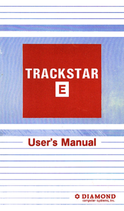

## **User's Manual**

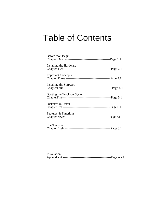# Table of Contents

| Before You Begin             |  |
|------------------------------|--|
| Installing the Hardware      |  |
| <b>Important Concepts</b>    |  |
| Installing the Software      |  |
| Booting the Trackstar System |  |
| Diskettes in Detail          |  |
| Features & Functions         |  |
| <b>File Transfer</b>         |  |

| Installation |  |
|--------------|--|
|              |  |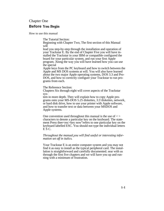## Chapter One **Before You Begin**

How to use this manual

The Tutorial Section:

Beginning with Chapter Two, The first section of this Manual will

lead you step-by-step through the installation and operation of your Trackstar E. By the end of Chapter Five you will have installed the Trackstar in your IBM or compatible configured the board for your particular system, and run your first Apple program. Along the way you will have learned how you can use the special

Apple keys from the PC keyboard and how to switch between the Apple and MS DOS systems at will. You will also have learned about the two major Apple operating systems, DOS 3.3 and Pro-DOS, and how to correctly configure your Trackstar to run programs from each.

The Reference Section:

Chapters Six through eight will cover aspects of the Trackstar sys-

<span id="page-2-0"></span>tem in more depth. They will explain how to copy Apple programs onto your MS-DOS 5.25 diskettes, 3.5'diskettes, network, or hard disk drive, how to use your printer with Apple software, and how to transfer text or data between your MSDOS and Apple systems.

One convention used throughout this manual is the use of  $\langle \rangle$ characters to denote a particular key on the keyboard. The statement Press thee  $<$ esc $>$ key now" refers to one particular key on the keyboard labelled ESC. You should not type the individual letters E S C.

#### *Throughout the manual,you will find useful or interesting information set off in italics.*

Your Trackstar E is an entire computer system and you may not find it as easy to install as the typical peripheral card. The installation is straightforward and carefully documented. sear with us through the first five chapters and we will have you up and running with a minimum of frustration.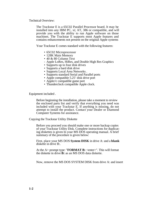Technical Overview:

The Trackstar E is a 65C02 Parallel Processor board. It may be installed into any IBM PC, xi; AT, 386 or compatible, and will provide you with the ability to run Apple software on those machines. The Trackstar E supports most Apple features and contains enhancements not present on the original Apple systems

Your Trackstar E comes standard with the following features:

- 65C02 Microprocessor
- 128K Main Memory
- 40 & 80 Column Text
- Apple LoRes, HiRes, and Double High Res Graphics
- Supports up to four disk drives
- Supports a bard disk drive
- Supports Local Area Networks .
- Supports standard Serial and Parallel ports
- Apple compatible 5.25' disk drive port
- Apple//c compatible game port
- Thunderclock compatible Apple clock.

Equipment included .

Before beginning the installation, please take a moment to review the enclosed parts list and verify that everything you need was included with your Trackstar E. If anything is missing, do not attempt to install the product. Contact your Dealer or Diamond Computer Systems for assistance.

Copying the Trackstar Utility Diskette

Before you proceed you should make one or more backup copies of your Trackstar Utility Disk. Complete instructions for duplicating diskettes is given In your MS DOS operating manual. A brief summary of the procedure is given below:

First, place your MS DOS **System DISK** in drive A: and a **blank**  diskette in drive B:.

At the A> prompt type: "**FORMAT B:** <enter>". This will format the diskette in drive **B:** as an MS DOS data diskette.

Now, remove the MS DOS SYSTEM DISK from drive A: and insert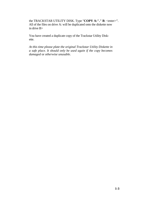the TRACKSTAR UTILITY DISK. Type "**COPY A:"." B**: <enter>". All of the files on drive A: will be duplicated onto the diskette now in drive B>

You have created a duplicate copy of the Trackstar Utility Diskette.

*At this time please plate the original Trackstar Utility Diskette in a safe place. It should only be used again if the copy becomes damaged* or *otherwise unusable.*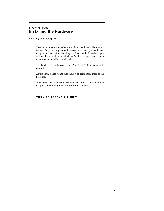## Chapter Two **Installing the Hardware**

Preparing your Workspace

<span id="page-5-0"></span>

Take this momen tto assemble the tools you will need. The Owners Manual for your computer will describe what tools you will need to open the case before installing the Trackstar E. In addition you will need a soft cloth on which to **Set** the computer and enough extra space to set this manual beside it,

The Trackstar E can be used in any PC, XT, AT, 386 or compatible computer.

At this time, please turn to Appendix A to begin installation of the hardware.

When you have completely installed the hardware, please turn to Chapter Three to begin installation of the software.

#### **TURN TO APPENDIX A NOW**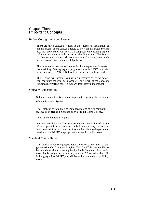## Chapter Three **Important Concepts**

<span id="page-6-0"></span>

#### Before Configuring your System

There are three concepts crucial to the successful installation of the Trackstar, These concepts relate to how the Trackstar System uses the hardware of your MS DOS computer while running Apple software, particularly with respect to the disk drives. The Trackstar has several unique disk features that make the system much more powerful than the standard Apple //e.

The three areas that we will cover in this chapter are Software Compatibility, Storing Apple programs under MS DOS, and the proper use of your MS DOS disk drives while in Trackstar mode.

This section will provide you with a necessary overview before you configure the system in Chapter Four. Each of the concepts explained here will be covered in more detail later in the manual.

Software Compatibility

Software compatibility is quite important to getting the most out of your Trackstar System.

The Trackstar system may be initialized to one of two compatibility levels; **standard** Compatibility or **high** Compatibility.

Look at the diagram in Figure 1.

You will see that your Trackstar system can be configured in one of three possible ways; one in standard compatibility and two in high compatibility. All compatibility modes relate to the particular version of the BASIC language that is stored in the Trackstar.

#### Standard Compatibility

The Trackstar comes equipped with a version of the BASIC language written by Language Arts, Inc. This BASIC is very similar to but not identical with that supplied by Apple Computer. As a result, most Apple programs, but not all, wilt run. When using the built in Language Arts BASIC;you will be in the standard compatibility mode.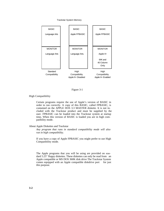#### Trackstar System Memory



#### Figure 3-1

#### High Compatibility

Certain programs require the use of Apple's version of BASIC in order to run correctly. A copy of this BASIC, called FPBASIC, is contained on the APPLE DOS 3.3 MASTER diskette. It is not included with the Trackstar product and must be supplied by the user. FPBASIC can be loaded into the Trackstar system at startup time, When this version of BASIC is loaded you are in high compatibility mode.

#### About Apple Diskettes and Trackstar

*Any program that runs in standard compatibility mode will also run in high compatibiIity.*

If you have a copy of Apple FPBASIC you might prefer to use High Compatibility mode.

The Apple programs that you will be using are provided on standard 5.25" floppy diskettes. These diskettes can only be read from an Apple compatible or MS DOS 360K disk drive The Trackstar System comes equipped with an Apple compatible diskdrive port for just this purpose.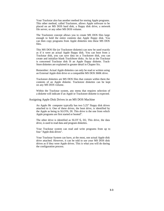Your Trackstar also has another method for storing Apple programs. This other method, called Trackstore, allows Apple software to be placed on an MS DOS hard disk, a floppy disk drive, a network file server, or any other MS DOS volume.

The Trackstore concept allows you to create MS DOS files large enough to hold the entire contents dan Apple floppy disk. You can then copy programs from Apple diskettes into these MS DOS files.

This MS DOS file (or Trackstore diskette) can now be used exactly as if it were an actual Apple floppy disk. You can boot from a Trackstar disk, you can save data on a Trackstore disk, you can create and initialize blank TrackStore disks. As fat as the Trackstar is concerned Trackstar disk lS an Apple floppy diskette. Track-Store diskettes are explained in greater detail in Chapter Six.

Remember: Actual Apple diskettes can only be read or written using an External Apple disk drive or a compatible MS DOS 360K drive.

Trackstore diskettes are MS DOS files that contain within them the contents of an Apple diskette. Trackstore diskettes can be kept on any MS DOS volume.

Within the Trackstar system, any menu that requires selection of a diskette will indicate if an Apple or Trackstore diskette is expected.

#### Assigning Apple Disk Drives in an MS DOS Machine

An Apple //e computer typically has two 5.25" floppy disk drives attached to it. One of these drives, the boot drive, is identified by the Apple as being in SLOT6, Dl. This drive is the one from which Apple programs are first started or booted".

The other drive is identified as SLOT 6, D2, This drive, the data drive, is used to read data and program diskettes.

Your Trackstar system can read and write programs from up to four "Apple disk drives".

Your Trackstar System can have, at the most, one actual Apple disk drive attached. However, it can be told to use your MS DOS disk drives as if they were Apple drives. This is what you will do during the configuration process.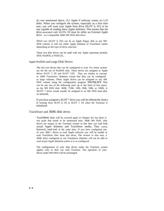As was mentioned above, 211 Apple // software comes on 5.25 disks. When you configure the system, especially as a first time user, you will want your Apple boot drive (SLOT 6, D1) to be one capable of reading these Apple diskettes. This means that the drive associated with SLOT6, Dl must be either an External Apple drive or a compatible 360K MS DOS disk drive.

Drive two (SLOT 6, D2) can be an Apple floppy disk or any MS DOS volume. lt will use either Apple diskettes or TrackStore media depending on the type of drive selected.

These two disk drives can be us&l with any Apple operating system; DOS, ProDOS, or PASCAL.

#### Apple ProDOS and Large Disk Drives

The last two drives that can be configured to your Tra ckstar system are for the use of ProDOS only. These drives are assigned as Apple drives SLOT 7, Dl and SLOT 7,D2. They are similar in concept to 140K Trackstore~ diskettes except that they can be configured as large volumes. These Apple drives can be assigned to any MS DOS volume using the configuration program **TSUTILITY** They can be any one of the following sizes up to the limit of free space on the MS DOS disk: 360K, 720K, 1Mb, 2Mb, 5Mb, or 10Mb, A SLOT 7 drive would usually be assigned to an MS DOS hard disk or network.

If you have assigned a SLOT 7 drive you will be offered the choice of booting from SLOT 6, Dl ot SLOT 7, Dl when the Trackstar is initialized.

#### TrackStore and 360K disk drives

TrackStore disks will be covered again in Chapter Six but there is one point that needs to be mentioned here. 360K MS DOS, disk drives are unique in the Trackstar system in that they can read both actual Apple diskettes and TrackStore media, They cannot, however, read both at the same time. If you have configured one of your 3601< drives to read Apple software you will be unable to read TrackStore files from that drive, The reverse is also true, a 360K drive configured to use TrackStore diskettes will not be able to read actual Apple diskettes unless it is re-configured.

The configuration of your disk drives under the Trackstar system applies only to their use with Trackstar. The operation of your drives under MS-DOS will be unchanged.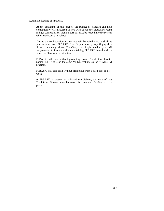Automatic loading of FPBASIC

At the beginning or this chapter the subject of standard and high compatibility was discussed. If you wish to run the Trackstar system in high compatibility, then **FPBASIC** must be loaded into the system when Trackstar is initialized.

During the configuration process you will be asked which disk drive you wish to load FPBASIC from If you specify any floppy disk drive, containing either TrackStar,~ or Apple media, you will be prompted to insert a diskette containing FPBASIC into that drive when the 'Trackstar is initialized.

FPBASIC will load without prompting from a TrackStore diskette named INIT if it is on the same Ms-Dos volume as the STARCOM program.

FPBASIC will also load without prompting from a hard disk or network.

**If** FPBASIC is present on a TrackStore diskette, the name of that TrackStore diskette must be **INIT** for automatic loading to take place.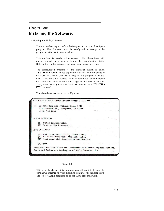## Chapter Four **Installing the Software.**

Configuring the Utility Diskette

<span id="page-11-0"></span>

There is one last step to perform before you can run your first Apple program. The Trackstar must be configured to recognize the peripherals attached to your machine.

This program is largely self-explanatory. The illustrations will provide a guide to the general flow of the Configuration Utility. Refer to the text for guidance and suggestions on each section~

The configuration program for the Trackstar system is called **TSUTILITY.COM.** If you copied the Trackstar Utility diskette as described in Chapter One then a copy of this program is on the new Trackstar Utility Diskette still in drive B. If you have not copied the Track star Utility diskette it is suggested that you do so now. Then, insert the copy into your MS-DOS drive and type **"TSUTIL-ITY** <enter>".

You should now see the screen in Figure 4-1.

\*\* TRACKSTAR-E Utility Program Version 1.1 \*\*\* (c) Diamond Computer Systems, Inc., 1988 470 Lakeside Dr., Sunnyvale, CA 940B6  $(408)$  736-2000 System Utilities [1] System Configuration [2] Function Key Programming Disk Utilities [3] Disk Conversion Utility (Trackstore) [4] New Blank Trackstore Disk Allocation [5] Trackstore Disk Description Modification  $[6]$  Quit Trackstar and Trackstore are trademarks of Diamond Computer Systems. Apple and ProDos are trademarks of Apple Computer, Inc.

#### Figure 4-1

This is the Trackstar Utility program. You will use it to describe the peripherals attached to your system, to configure the function keys, and to Store Apple programs on an MS-DOS disk or network.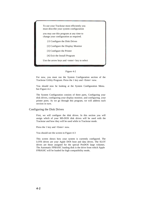To use your Trackstar most efficiently you must describe your system configuration you may use this program at any time to change your configuration as required. {1l Configure the Disk Drives [2] Configure the Display Monitor [3] Configure the Printer [4] Exit the Install Program Usn the arrow keys and <enter> key to select



For now, you must run the System Configuration section of the Trackstar Utility Program. Press the 1 key and <Enter> now.

You should now be looking at the System Configuration Menu. See Figure 4-2.

The System Configuration consists of three parts, Configuring your disk drives, configuring your display monitor, and configuring. your printer ports. As we go through this program, we will address each section in turn.

#### Configuring the Disk Drives

First, we will configure the disk drives. In this section you will assign which of your MS-DOS disk drives will be used with the Trackstar and how they will be used while in Trackstar mode.

Press the 1 key and <Enter> now.

You should see the screen in Figure 4-3

This screen shows how your system is currently configured. The LOT6 drives are your Apple DOS boot and data drives. The SLOT drives are those assigned for the special ProDOS large volumes. The Automatic FPBASlC loading disk is the drive from which Apple FPBASIC will be loaded for high compatibility mode,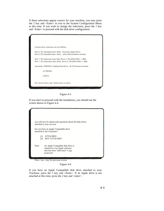If these selections appear correct for your machine, you may press the 2 key and <Enter> to exit to the System Configuration Menu at this time. If you wish to change the selections, press the 1 key and <Enter> to proceed with the disk drive configuration.

| Current drive selection are aS follOws.                                     |  |
|-----------------------------------------------------------------------------|--|
|                                                                             |  |
| Slot 6, D1 (Standard boot disk): External Apple Drive                       |  |
| Slot 6. D2 (Standard data disk) : drIve-B(TrackStore format)                |  |
|                                                                             |  |
| Slot 7, DI (Alternate boot disk Drive-C (ProDOS.HD1: 1 Mb)                  |  |
| Slot 7, D2 (Alternate data disk), Drive-C (ProDOS.HD2: 1 Mb)                |  |
| Automatic FPBASIC loading disk Drive—B (Trackstore format)                  |  |
|                                                                             |  |
| $(1)$ Modify                                                                |  |
|                                                                             |  |
| $(2)$ Exit                                                                  |  |
|                                                                             |  |
| Use Arrow Keys and <enter) key="" select<="" td="" to=""><td></td></enter)> |  |
|                                                                             |  |



If you elect to proceed with the installation, you should see the screen shown in Figure 4-4.

|       | you will now be asked some questions about the disk drives |  |
|-------|------------------------------------------------------------|--|
|       | attached to your sys tern                                  |  |
|       |                                                            |  |
|       | Do you have an Apple Compatible drive                      |  |
|       | attached to the Trackstar?                                 |  |
|       |                                                            |  |
| (1)   | <b>ATTACHED</b>                                            |  |
| (2)   | <b>NOT ATTACHED</b>                                        |  |
|       |                                                            |  |
|       |                                                            |  |
| Note: | An Apple Compatible disk drive is                          |  |
|       | required to run Apple software                             |  |
|       | that has been 'half-track'' Copy                           |  |
|       | protected                                                  |  |
|       |                                                            |  |
|       |                                                            |  |
|       | Press <esc> key for previous screen</esc>                  |  |

Figure 4-4

If you have an Apple Compatible disk drive attached to your Trackstar, press the 1 key and <Enter>. If an Apple drive is not attached at this time, press the 2 key and <enter>.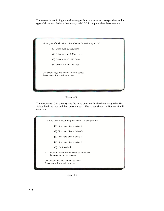The screen shown in Figure4swlunowappe Enter the number corresponding to the type of drive installed as drive A~onyourMsDOS computer then Press <enter>.





The next screen (not shown) asks the same question for the drive assigned to H~. Select the drive type and then press <enter>. The screen shown in Figure 4-6 will now appear

If a hard disk is installed please enter its designation:

(1) First hard disk is drive-C

(2) First hard disk is drive-D

(3) First hard disk is drive-E

(4) First hard disk is drive-F

(5) Not installed

If your system is connected to a network the network can be selected

Use arrow keys and <enter> to select Press <esc> for previous screen

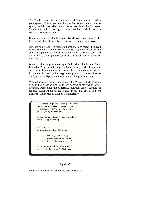The Trackstar can also use any two hard disk drives attached to your system. This screen and the one that follows allows you to specify which two drives are to be accessible to the Trackstar. Should you be lucky enough to have three hard disk drives, you will have to make a choice!

If your computer is attached to a network, you should specify the letter designation of the network file server a~a hard disk drive.

Now we come to the configuration section, Each screen displayed in this section will have certain choices displayed based on the actual equipment installed in your computer. These screens will be similar to the Figures shown in this manual, but not identical with them.

Based on the equipment you specified earlier, the System Configuration Program will suggest which choice you should make at each menu. If you are unsure of what choice to make at a particular screen, then accept the suggestion given. You may return to the System Configuration at any time to change a selection,

You will now see the screen in Figure 4-7. You areselecting which of your disk drives will be used when booting or starting an Apple program, Remember the difference between drives capable of reading actual Apple diskettes and drives that use TrackStore diskettes. Refer back to Chapter 3 if necessary.





Select a drive for SLOT 6, Dl and press <Enter>.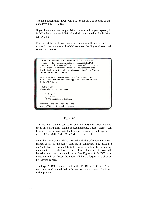The next screen (not shown) will ask for the drive to be used as the data drive in SLOT *6,* D2,

If you have only one floppy disk drive attached to your system, it is OK to have the same MS-DOS disk drive assigned as Apple drive Dl AND 02!

For the last two disk assignment screens you will be selecting the drives for the two special ProDOS volumes. See Figure *4-a* (second screen not shown)

To addition to the standard Trackstar drives you just selected, you can specify two more drives for use with Apple ProDOS. These drives will he identified as <SLOT7,D1> and <(SLOT7,D2>. For the experienced user this Option will allow access to large ProDOS volumes with much faster disk access time. These Volumes are best located on a hard disk.

Novice Trackstar Users say elect to skip this section at this time. YOU will still be able to use Apple ProDOS based software in the <SLOt 6> drives.

 $<$ SLOT 7, D1 $>$ Please select ProDOS volume-1 : 1

> (1) Drive-A (2) Drive-B (3) NO assignment at this time.

Use arrow keys and <Enter> to select. press <ESC> key for previous screen.



The ProDOS volumes can be on any MS-DOS disk drive. Placing them on a hard disk volume is recommended, These volumes can be any of several sizes up to the free space remaining on the specified drive (352K, 704K, 1Mb, 2Mb, 5Mb, or 10Mb each)

Note that the ProDOS 'disks" created with this selection are unformatted as far as the Apple software is concerned. You must use an Apple ProDOS Format Utility to format the volume before storing data on it. For each ProDOS hard disk volume selected,you will be asked the size you want it to be. See Figure 4-9. ProDOS volumes created, on floppy diskette~ will be the largest size allowed by that floppy drive.

The large ProDOS volumes used in SLOT7, Dl and SLOT7, D2 can only be created or modified in this section of the System Configuration program.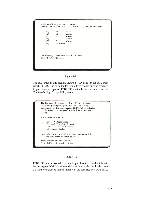| (1)<br>(2) | 3S <sub>2</sub><br>304         | kbytes<br>kbytES                                      |
|------------|--------------------------------|-------------------------------------------------------|
| (3)        | 1                              | Mbytes                                                |
| (4)        | 2                              | Mbytes                                                |
| (5)        | 5                              | <b>Mbytes</b>                                         |
| (6)        | 10 Mbytes                      |                                                       |
|            | press <esc>key to cancel</esc> | Use arrow keys then $\langle$ SPACE BAR $>$ to select |
|            |                                |                                                       |



The last screen in this section, Figure 4—1O, asks for the drive from which FPBASIC is to be loaded. This drive should only be assigned if you have a copy of FPBASIC available and wish to use the Trackstar's High Compatibility mode.





FPBASIC can be loaded from an Apple diskette, Usually this will be the Apple DOS 3.3 Master diskette. It can also be loaded from a TrackStore, diskette named <INIT> on the specified MS-DOS drive.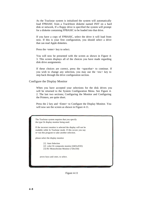As the Trackstar system is initialized the system will automatically load FPBASIC from a TrackStore diskette named INIT on a hard disk or network, If a floppy drive is specified the system will prompt for a diskette containing FPBASIC to be loaded into that drive.

If you have a copy of FPBASIC, select the drive it will load from now. If this is your first configuration, you should select a drive that can read Apple diskettes.

Press the <enter> key to select.

You will now be presented with the screen as shown in Figure 4- 3. This screen displays all of the choices you have made regarding disk drive assignments.

If these choices are correct, press the <spacebar> to continue. If you wish to change any selection, you may use the <esc> key to step back through the drive configuration section.

Configure the Display Monitor

When you have accepted your selections for the disk drives you will be returned to the System Configuration Menu. See Figure 4- 2. The last two sections; Configuring the Monitor and Configuring the Printers, are quite short.

Press the 2 key and <Enter> to Configure the Display Monitor. You will now see the screen as shown in Figure 4-11.



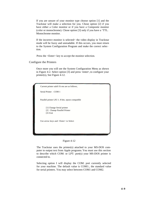If you are unsure of your monitor type choose option [1] and the Trackstar will make a selection for you. Chose option [2] if you have either a Color monitor or if you have a Composite monitor (color or monochrome). Chose option [3] only if you have a 'TTL. Monochrome monitor.

If the incorrect monitor is selected~ the video display in Trackstar mode will be fuzzy and unreadable. If this occurs, you must return to the System Configuration Program and make the correct selection.

Press the <Enter> key to accept the monitor selection.

Configure the Printers

Once more you will see the System Configuration Menu as shown in Figure 4-2. Select option [3] and press <enter>, to configure your printer(s), See Figure 4-12.



Figure 4-12

The Trackstar uses the printer(s) attached to your MS-DOS computer to output text from Apple programs. You must use this section to describe which COM: or LPT: port(s) your MS-DOS printer is connected to.

Selecting option I will display the COM: port currently selected for your machine. The default value is COM1:, the standard value for serial printers. You may select between COM1 and COM2.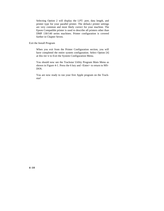Selecting Option 2 will display the LPT: port, data length, and printer type for your parallel printer. The defauLt printer settings are very common and most likely correct for your machine. The Epson Compatible printer is used to describe all printers other than DMP 130/140 series machines. Printer configuration is covered further in Chapter Seven.

Exit the Install Program

When you exit from the Printer Configuration section, you will have completed the entire system configuration. Select Option [4] at this tin~e to Exit the System Configuration Menu.

You should now see the Trackstar Utility Program Main Menu as shown in Figure 4-1. Press the 6 key and <Enter> to return to MS-DOS.

You are now ready to run your first Apple program on the Trackstar!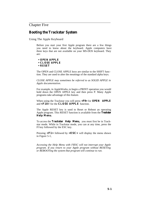## Chapter Five

<span id="page-21-0"></span>

## **Booting the Trackstar System**

Using The Apple Keyboard

Before you start your first Apple program there are a few things you need to know about the keyboard. Apple computers have three keys that are not available on your MS-DOS keyboard. They are:

**• OPEN APPLE • CLOSE APPLE • RESET**

The OPEN and CLOSE APPLE keys are similar to the SHIFT function. They are used to alter the meanings of the standard alpha keys.

*CLOSE APPLE may sometimes be referred to as SOLID APPLE in Apple documentation.*

For example, in AppleWorks, to begin a PRINT operation you would hold down the OPEN APPLE key and then press P. Many Apple programs take advantage of this feature.

When using the Trackstar you will press **<F9>** for **OPEN APPLE** and **<F10>** for the **CLOSE APPLE** function.

The Apple RESET key is used to Reset or Reboot an operating Apple program. This RESET function is available from the **Trackstar Help Menu.**

To access the **Trackstar Help Menu,** you must first be in Trackstar mode. While in Trackstar mode, you can at any time, press the Fl key followed by the ESC key.

Pressing **<F1>** followed by **<ESC>** will display the menu shown in Figure 5-1,

Accessing the Help Menu with FESC will not interrupt your Apple *program. If you return to your Apple program without RESETing or REBOOTing the system that program will continue to run.*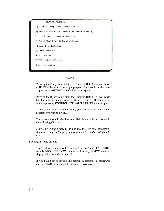



Pressing the E key from within~he Trackstar Help Menu will cause a RESET to be sent to the Apple program. This would be the same as pressing **CONTROL** - **RESET** on an Apple.

Pressing the B key from within the Trackstar Help Menu will cause the Trackstar to reboot from the diskette in drive Dl This is the same as pressing **CONTROL OPEN-APPLE** RESET on an Apple.

While in the Trackstar Help Menu, you can return to your Apple program by pressing ENTER.

The other options in the Trackstar Help Menu will be covered in the following Chapters.

*Many early Apple programs do not accept lower case characters. If you are using such a program, remember to use the CAPSLOCK key*

Booting an Apple diskette

The Trackstar is initialized by running the program **STAR.COM** from MS-DOS. STAR COM can be run from any MS-DOS volume; floppy disk, hard disk, or network.

If you have been following this manual in sequence, a configured copy of STAR.COM should be in your B~drive now.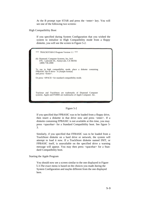At the B prompt type STAR and press the  $\leq$  enter $\geq$  key. You will see one of the following two screens:

#### High Compatibility Boot

If you specified during System Configuration that you wished the system to initialize in High Compatibility mode from a floppy diskette, you will see the screen in Figure 5-2.

| ***<br>*** TRACKSTAR-E Program Version 1.1                                                                                               |
|------------------------------------------------------------------------------------------------------------------------------------------|
| (6) Diamond. Computer Systems, Inc. lesS<br>470. Lakeside Dr., Sunnyvale, CA 94056<br>$(408)$ 736-2000                                   |
| To run in high compatibility mode, place a diskette containing<br>FPBASIC file in drive - A (Ample format)<br>and press <enter>.</enter> |
| Or press <space> for standard compatibility mode.</space>                                                                                |
|                                                                                                                                          |
| Trackstar and TrackStore are trademarks of Diamond Computer<br>systems. Apple and P10005 are trademarks of Apple Computer. Inc.          |



If you specified that FPBASIC was to be loaded from a floppy drive, then insert a diskette in that drive now and press <enter>. If a diskette containing FPBASIC is not available at this time, you may press <spacebar> for a Standard Compatibility boot. See figure 5- 3.

Similarly, if you specified that FFBASIC was to be loaded from a TrackStore diskette on a hard drive or network, the system will attempt to load it now. If a TrackStore diskette named INIT, or FPBASIC itself, is unavailable on the specified drive a warning message will appear. You may then press <spacebar> for a Standard Compatibility boot.

Starting the Apple Program

You should now see a screen similar to the one displayed in Figure 5-3.The exact menu is based on the choices you made during the System Configuration and maybe different from the one displayed here.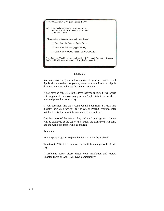TRACKSTAR-E Program Version 1.1 \*\*\*

(c) Diamond Computer Systems, Inc., 1998 440 F Lakeside Or. • Sonnyvale, CA 5408 (408) 735—2000

P lease select with arrow keys and press<Enter>

- [1] Boot from the External Apple Drive
- [2] Boot From Drive-A (Apple format)
- [3] Boot Prom PRODOS Volume C: PRODOS.HD1

TrackStar and TrackStore are trademarks of Diamond Computer Systems Apple and ProDos are trademarks of Apple Computer, Inc.

#### Figure 5-3

You may now be given a few options. If you have an External Apple drive attached to your system, you can insert an Apple diskette in it now and press the <enter> key. Or...

If you have an MS-DOS 360K drive that you specified was for use with Apple diskettes, you may place an Apple diskette in that drive now and press the <enter> key.

If you specified that the system would boot from a TrackStore diskette, hard disk, network file server, or ProDOS volume, refer to Chapter Six for more information on those options.

One last press of the <enter> key and the Language Arts banner will be displayed at the top of the screen, the disk drive will spin, and the Apple program will load and run.

Remember

Many Apple programs require that CAPS LOCK be enabled.

To return to MS-DOS hold down the <alt> key and press the <esc> key.

If problems occur, please check your installation and review Chapter Three on Apple/MS-DOS compatibility.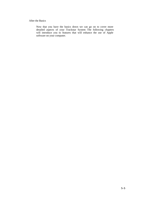Now that you have the basics down we can go on to cover more detailed aspects of your Trackstar System The following chapters will introduce you to features that will enhance the use of Apple software on your computer.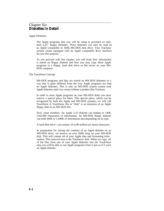## Chapter Six **Diskettes In Detail**

#### Apple Diskettes

<span id="page-26-0"></span>

The Apple programs that you will be using ar provided on standard 5,25" floppy diskettes. These diskettes can only be read on an Apple compatible or 360K MS-DOS disk drive. Your Trackstar system comes equipped with an Apple compatible drive interface for just this purpose.

As you proceed with this chapter, you will learn how information is stored on floppy diskette and how you may copy these Apple programs to a floppy, hard disk drive or file server on your MS-DOS computer.

The TrackStore Concept

MS-DOS programs and data are stored on MS-DOS diskettes in a way that is quite different from the way Apple programs are kept on Apple diskettes. This is why an MS-DOS system cannot read Apple diskettes (and vice versa) without a product like Trackstar.

In order to store Apple programs on your MS-DOS disks you must reserve a special place for them, This special place, which can be recognized by both the Apple and MS-DOS systems, we will call TrackStore A TrackStore file or "disk" is an imitation of an Apple floppy disk on an MS-DOS file.

First, some numbers: An Apple 5.25 diskette can holdup to 140K (142,000 characters) of information. An MS-DOS floppy diskette can hold 360K to 1,440K of information don depending on its type.

A hard disk drive~ can contain 10 to 80 million (or more) characters.

In preparation for storing the contents of an Apple diskette on an MS-DOS drive, we reserve an area 266K long on your MS-DOS disk. This will contain all of your Apple data and formatting information. This reserved area is the Track*store* disk. When we copy all of the files from one of your Apple diskettes into the TrackStore area, you will be able to run Apple programs from it just as if it were an Apple diskette.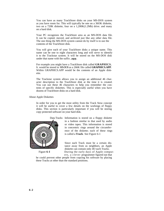You can have as many TrackStore disks on your MS-DOS system as you have room for. This will typically be one on a 36OK diskette, two on a 720K diskette, four on a 1,200K(1.2Mb) drive. and many on a hard disk.

Your PC recognizes the TrackStore area as an MS-DOS data file. It can be copied, moved, and archived just like any other data file. The one thing the MS-DOS system cannot do by itself is to use the contents of the TrackStore disk.

You will give each of your TrackStore disks a unique name. This name can be one to eight characters long and will serve to identify it to the Trackstar system. It will be stored on the MS-DOS disk under that name with the suffix **.app.**

For example you might have a TrackStore disk called **GRAPHICS.** lt. would be stored in MS-DOS as a 266K file called **GRAPHICS.APP**. Within GRAPHICS.APP would be the contents of an Apple diskette.

The Trackstar system allows you to assign an additional 46 character description to the TrackStore disk at the time it is created. You can use these 46 characters to help you remember the contents of specific diskettes. This is especially useful when you have dozens of TrackStore disks on a hard disk.

About Apple Diskettes

In order for you to get the most utility from the Track Stow concept it will be useful to cover a few details on the workings of floppy disks. This section is particularly important if you will be storing copy protected software on your hard disk.

Data Tracks Information is stored on a floppy diskette



in a fashion similar to that used by audio or video tapes. This information is stored in concentric rings around the circumference of the diskette; each of these rings is called a **Track**. See Figure 6-1

Since each Track must be a certain distance away from us neighbors, an Apple diskette can contain only 4O such Tracks. Figure **6-I** During the early days of Apple comput-

ers, a clever programmer figured out that

he couId prevent other people from copying his software by placing these Tracks at other than the standard positions.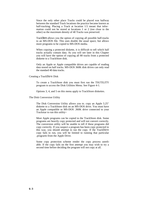Since the only other place Tracks could be placed was halfway between the standard Track locations the practice became known as half-tracking. Placing a Track at location 1:5 meant that information could not be stored at locations 1 or 2 (too close to the other) so the maximum density of 40 Tracks was preserved.

Track*Store* allows you the option of copying all possible half-tracks to an MS-DOS file. This uses double the usual space, but allows more programs to be copied to MS-DOS media.

When copying a protected diskette, it is difficult to tell which half tracks actually contain data. As you will see later in this Chapter you will have the option of copying all 80 tracks from a protected diskette to a TrackStore disk.

Only an Apple or Apple compatible drives are capable of reading data stored on half tracks. MS-DOS 360K disk drives can only read the standard 40 data tracks.

Creating a Track*Store* Disk

To create a TrackStore disk you must first run the TSUTILITY program to access the Disk Utilities Menu. See Figure 4-1.

Options 3, 4, and 5 on this menu apply to TrackStore diskettes.

The Disk Conversion Utility

The Disk Conversion Utility allows you to. copy an Apple 5.25" diskette to a TrackStore disk on an MS-DOS drive. You must have an Apple compatible or MS-DOS .360K drive connected to your Trackstar to run this utility~

Most Apple programs can be copied to the TrackStore disk. Some programs are heavily copy protected and will not convert correctly. The conversion utility will be unable to tell if these programs did copy correctly. If you suspect a program has been copy protected in this way, you should attempt to run the copy. If the Track*Store*  copy fails to run, you will be limited to running that particular .prograrm from the Apple Drive.

Some copy protection scheme render the copy process unreliable. If the copy fails on the first attempt you may wish to try a second time before deciding the program will not copy at all.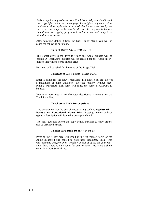*Before copying any software to a TrackStore disk, you should read the copyright notice accompanying the original software. Most publishers allow duplication to a hard disk for personal use by the purchaser: this may not be true in all cases. It is especially Important if you are copying programs to a file server that many individuaI have access to.*

After selecting Option 3 from the Disk Utility Menu, you will be asked the following question&

#### **Target Drive** *(A/B/C/D/E/F):*

The Target drive is the drive to which the Apple diskette will be copied. A Track*Store* diskette will be created for the Apple information that will be stored on this drive.

Next you will be asked for the name of the Target Disk.

#### **Trackstore Disk Name STARTUP1**

Enter a name for the new TrackStore disk now. You are allowed a maximum of eight characters. Pressing <enter> without specfying a *TrackStore* disk name will cause the name STARTUP1 to be used.

You may next enter a 46 character descriptive statement for the TrackStore disk,

#### **Trackstore Disk Description:**

This description may be any character string such as **AppleWorks Backup or Educational Game Disk** Pressing <enters without typing a description will leave this description blank.

The next question before the copy begins pertains to copy protection as described earlier.

#### **TrackStore Disk Density (40/80):**

Pressing the 4 key here will result in the 40 regular tracks of the Apple diskette being copied to your new Track*Store* disk. This will consume 266,240 bytes (roughly 265K) of space on your MS-DOS disk. There is only room for one 40 track TrackStore diskette on an MS-DOS 360K drive. .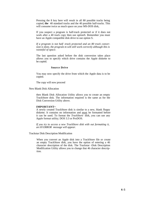Pressing the 8 key here will result in all 80 possible tracks being copied, **the** 40 standard tracks and the 40 possible half-tracks. This will consume twice as much space on your MS-DOS disk,

If you suspect a program is half-track protected or if it does not work after a 40 track copy then use optionS. Remember you must have an Apple compatible disk drive to use option S.

*If a program is not half -track protected and an 80 track conversion is done, the program m wilt still work correctly although ibis is wasteful of space.*

The last question asked before the disk conversion takes place allows you to specify which drive contains the Apple diskette to be copied.

#### **Source Drive**

You may now specify the drive from which the Apple data is to be copied.

The copy will now proceed

New Blank Disk Allocation

then Blank Disk Allocation Utility allows you to create an empty TrackStore disk. The information required is the same as for the Disk Conversion Utility above.

#### **IMPORTANT~**

A newly created TrackStore disk is similar to a new, blank floppy diskette. It contains no information and must be formatted before it can be used. To format the *TrackStore* disk, you can use any Apple format utility; DOS 3.3 or ProDOS.

*If you try to access a new TrackStore disk with out formatting it, an I/0 ERROR message will appear.*

Trackstar Disk Description Modification

When you convert an Apple disk into a TrackStore file or create an empty TrackStore disk, you have the option of entering a 46 character description of the disk. The Trackstar -Disk Description Modification Utility allows you to change that 46 character description.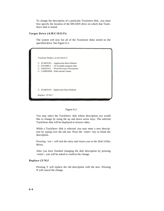To change the description of a particular Trackstore disk, .you must first specify the location of the MS-DOS drive on which that Track-*Store* disk is stored.

#### **Target Drive (A/B/C/D/E/F):**

The system will now list all of the Trackstore disks stored on the specified drive. See Figure 6-2.

| Trackstar $Disk(s)$ . on the Drive-C   |  |
|----------------------------------------|--|
| C: STARTUP1 - Appleworks Boot Diskette |  |
| C: EXAMPL2 - An Example program disk   |  |
| C: AWDATA - Word Processor Documents   |  |
| C: CAMEDISK - EduCational Games        |  |
|                                        |  |
| C: STARTUP1 - Appleworks Boot Diskette |  |
| Replace $(Y/N)$ ?                      |  |



You may select the Track*Store* disk whose description you would like to change by using the up and down arrow keys. The selected TrackStore disk will be displayed in inverse video.

While a Track*Store* disk is selected, you may enter a new description by typing over the old one. Press the <enter> key to finish the description.

*Pressing <esc> will end the entry and return you to the Disk Utility Menu.*

After you have finished changing the disk description by pressing <enter>, you will be asked to confirm the change.

#### **Replace (Y/N)?**

Pressing Y will replace the old description with the new. Pressing N will cancel the change.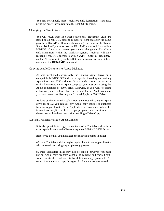You may now modify more Track*Store* disk descriptions. You must press the <esc> key to return to the Disk Utility menu,

#### Changing the TrackStore disk name

You will recall from an earlier section that TrackStore disks are stored on an MS-DOS diskette as none to eight character file name plus the suffix **APP.** If you wish to change the name of the Track-Store disk itself you must use the RENAME command from within MS-DOS. Once it is created you cannot change the Track*Stor*e disk name from within the Trackstar system. Trackstar will only recognize MS-DOS filenames with a **.APP** suffix as Track*Store* media. Please refer to your MS-DOS users manual for more information on the **RENAME** command.

#### Copying Apple Diskettes to Apple Diskettes

As was mentioned earlier, only the External Apple Drive or a compatible MS-DOS 360K drive is capable of reading and writing Apple formatted 525" diskettes. If you wish to run a program or read a file created on an Apple computer you must do so using the Apple compatible or 360K drIve. Likewise, if you want to create a disk on your Trackstar that can be read On an Apple computer you must create that disk on your External Apple or 360K Drive.

As long as the External Apple Drive is configured as either Apple drive Dl or D2 you can use any Apple copy routine to duplicate from an Apple diskette *to* an Apple diskette. You must follow the instructions supplied with the copy program. You must refer to the section within those instructions on Single Drive Copy.

Copying *TrackStore* disks to Apple Diskettes

It is also possible to copy the contents of a Track*Store* disk back to an Apple diskette in the External Apple or MS-DOS 360K Drive.

Before you do this, you must keep the following points in mind:

40 track Track*Store* disks maybe copied back to an Apple diskette without restriction using any Apple copy program.

80 track TrackStore disks may also be copied; however, you must use an Apple copy program capable of copying half-tracked software. Half-tracked software is by definition copy protected. The result of attempting to copy this type of software is not guaranteed.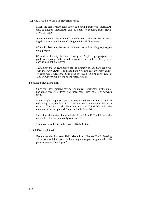Copying Track*Store* disks to Track*Store* disks.

Much the same restrictions apply to copying from one Track*Store* disk to another Track*Store* disk as apply to copying from Track-*Store* to Apple.

A destination Track*Store* must already exist, This can be an existing disk or one newly created using the Disk Utilities menu

40 track disks may be copied without restriction using any Apple copy program

80 track disks may be copied using an Apple copy program capable of copying half-tracked software, The result of this type of copy is also not guaranteed.

*Remember that a TrackStore disk is actually an MS-DOS type file with the suffix APP. From MS-DOS you can use any copy utility to duplicate TrackStore disks with* no *loss of information. This is true of both 40 and 80 Track TrackStore disks.*

Selecting a Track*Store* disk

Once you have created several (or many) Track*Store* disks on a particular MS-DOS drive, you need some way to select between them.

For example; Suppose you have designated your drive C: (a hard disk, say) as Apple drive D2. Your hard disk may contain lO or 15 or more TrackStore disks. Now you want to CATALOG or list the contents of the "Apple disk" now in Apple drive D2.

How does the system know which of the 10 or l5 TrackStore disks available is the one you really wish to see?

The answer to this is in the Switch **Disk** feature.

Switch Disk Explained

Remember the Trackstar Help Menu from Chapter Two? Pressing  $\langle F1 \rangle$  followed by  $\langle \text{esc} \rangle$  while using an Apple program will display this menu. See Figure 5-1.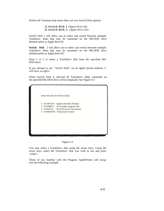Within the Trackstar help menu there are two Switch Disk options:

#### **1] Switch Disk 1** *(Apple Drive Dl)* **2] Switch Disk 2.** *(Apple Drive D2)*

Switch Disk 1 will allow you to select and switch between multiple Track*Store* disks that may be contained on the MS-DOS drive defined earlier as Apple drive Dl.

**Switch Disk** 2 will allow you to select and switch between multiple Track*Store* disks that may be contained on the MS-DOS drive defined earlier as Apple drive D2.

Press 1 or 2 to select a Track*Store* disk from the specified MS-DOS drive.

*If you attempt to use '"Switch Disk" on an Apple format diskette, it will have no effect.*

When Switch Disk is selected all Track*Store* disks contained on the specified Ms-DOS drive will be displayed. See Figure 6-3

Select the disk for Dl (boot disk)

C: STARTUP1 - Appleworks Boot Diskette C: EXAMPLE - An Example program disk C: AWDATA - Word Processor Documents C: GAMEDISK - Educational Games

Figure 6-3

You may select a Track*Store* disk using the arrow keys. Using the arrow keys, select the Track*Store* disk you wish to use and press <enter>,

Those of you familiar with the Program AppleWorks will recognize the following example: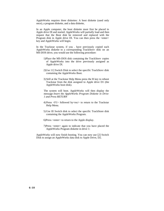AppleWorks requires three diskettes: A boot diskette (used only once), a program diskette, and a data diskette,

In an Apple computer, the boot diskette must first be placed in Apple drive Dl and started. AppleWorks will partially load and then request that the Boot disk be removed and replaced with the Program disk in Apple drive Dl. You can then press the <enter> key and AppleWorks will begin.

In the Trackstar system, if you . have previously copied each AppleWorks diskette to a corresponding Track*Store* disk on an MS-DOS drive, you would use the following procedure:

- 1)Place the MS-DOS disk containing the Track*Store* copies of AppleWorks into the drive previously assigned as Apple drive Dl.
- 2)Use 11] Switch Disk to select the specific Track*Store* disk containing the AppleWorks Boot.
- 3)Still at the Trackstar Help Menu press the B key to reboot Trackstar from the disk assigned to Apple drive D1 (the AppleWorks boot disk).

The system will boot. AppleWorks will then display the message *Insert the AppleWorks Program Diskette in Drive 1 and Press RETURN*

- 4)Press <F1> followed by<esc> to return to the Trackstar Help Menu.
- 5) Use Ill Switch disk to select the specific TrackStore disk containing the AppleWorks Program.
- 6)Press <enter> to return to the Apple display.
- 7)Press <enter> again to indicate that you have placed the AppleWorks Program diskette in drive 1:

AppleWorks will now finish booting. You can now use [2] Switch Disk to assign an AppleWorks data disk to Apple Drive, D2.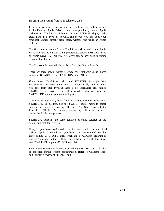#### Booting the system from a TrackStore disk

It is not always necessary to boot the Trackstar system from a disk in the External Apple Drive. If you have previously copied Apple diskettes to TrackStore diskettes on your MS-DOS floppy diskettes, hard disk drive, or network file server, you can boot your 'trackstar System directly from there, without first using an Apple diskette.

The first step in booting from a TrackStore disk instead of the Apple Drive is to use the **TSUTILITY** program to assign an MS-DOS drive as Apple Drive Dl. This MS-DOS drive can be any drive including a hard disk or file server.

The Trackstar System will always boot from the disk in drive Dl.

There are three special names reserved for TrackStore disks. These names are **STARTUP1, STARTUP2,** and **INIT.**

If you have a Track*Store* disk named STARTUP1 in Apple drive D1, then that Track*Store* disk will be automatically selected when you boot from that drive. If there is no TrackStore disk named STARTUP 1 on Drive Dl you will be asked to select one from the SWITCH DISK menu as shown in Figure 11.

You can, if you wish, boot from a TrackStore~ disk other than STARTUP1. To do this, use the SWITCH DISK menu to select another disk prior to booting. The last TrackStore disk selected from the SWITCH DISK menu (for drive Dl) will be the one used during the Apple boot process.

STARTUP2 performs the same function of being selected as the default data disk for Drive D2.

Now, If you have configured your Trackstar such that your hard disk is Apple Drive Dl and you have a TrackStore disk on that drive named STARTUP1; then, when the STAR.COM program is run the Trackstar system will be started from the TrackStore *diskette* STARTUP1 on your MS-DOS hard disk.

INIT is the TrackStore diskette from which FPBASIC can be loaded as specified during system configuration. Refer to Chapters Three and Four for a review of FPBASIC and INIT,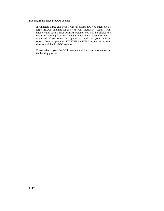Booting from a large ProDOS volume

In Chapters Three and Four it was discussed how you might create large ProDOS volumes for use with your Trackstar system. If you have created such a large ProDOS volume, you will be offered the option of booting from that volume when the Trackstar system is initialized. If you select this option the Trackstar system will be started from the program STARTUP.SYSTEM located in the root directory of that ProDOS volume.

Please refer to your ProDOS users manual for more information on the booting process.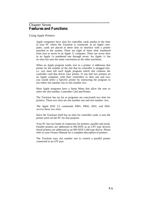## Chapter Seven **Features and Functions**

Using Apple Printers

Apple computers have slots for controller cards similar to the slots in your PC where the Trackstar is connected. In an Apple computer, cards are placed in these slots to interface with a printer attached to the system. There are eight of these slots numbered from zero to seven in an Apple 11 computer. There are seven slots in an Apple //e numbered one through seven. An Apple //c has no slots but uses the same convention as the other machines.

<span id="page-38-0"></span>**\_\_\_\_\_\_\_\_\_\_\_\_\_\_\_\_\_\_\_\_\_\_\_\_\_\_\_\_\_\_\_\_\_\_\_\_\_\_\_\_\_\_\_**

When an Apple program sends, text to a printer, it addresses that printer by the number of the slot that its controller is plugged into. i.e. you must tell each Apple program which slot contains the controller card that drives your printer. If you had two printers on an Apple computer, with their controllers in slots one and two, you would select a Specific printer by instructing the program to use either slot number one or slot number two.

Most Apple programs have a Setup Menu that allow the user to select the slot number, Controller Card and Printer.

The Trackstar has (as far as programs are concerned) two slots for printers. These two slots are slot number one and slot number two.

*The Apple DOS 3.3 commands PR#1, PR#2, IN#1, and IN#2 access these two slots.*

Since the Trackstar itself has no slots for controller cards, it uses the printer ports on the PC for that purpose:

Your PC has two kinds of connectors for printers: parallel and serial. Parallel printers are addressed in MS-DOS as an LPT type devices Serial printers are addressed as an MS-DOS CaM type device. Please refer to your Owners Manual for a complete description of printers.

The Trackstar uses slot number one to control a parallel printer connected to an LPT port.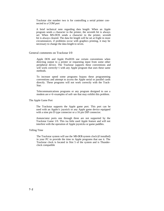Trackstar slot number two is for controlling a serial printer connected to a COM port

A brief technical note regarding data length: When an Apple program sends a character to the printer, the seventh bit is always set: When MS-DOS sends a character to the printer, seventh bit is always cleared. The data bit length will be set at Eight in most circumstances. if problems occur with graphics printing, it may be necessary to change the data length to seven.

#### General comments on Trackstar I/0

Apple DOS and Apple ProDOS use certain conventions when directing output to a printer or requesting input from some other peripheral device. The Trackstar supports these conventions and will work correctly~i with any Apple program that uses these same methods.

To increase speed some programs bypass these programming conventions and attempt to access the Apple serial or parallel cards directly. These programs will not work correctly with the Track-Star.

Telecommunications programs or any program designed to use a modem are e~6~examples of soft~ate that may exhibit this problem.

#### The Apple Game Port

The Trackstar supports the Apple game port. This port can be used with an Apple//c joystick or any Apple game device equipped with a nine pin D type connector or a 16 pin DIP connector.

Annunciator ports one through three are not supported by the Trackstar Game 1/0. This isa little used Apple feature and will not interfere with the operation of Apple joysticks or game paddles.

#### Telling Time

The Trackstar system will use the MS-DOS system clock (if installed) in your PC to provide the time to Apple programs that use it. The Trackstar clock is located in Slot 5 of the system and is Thunderclock compatible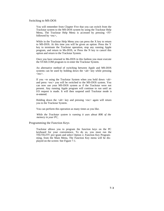You will remember from Chapter Five that you can switch from the Trackstar system to the MS-DOS system by using the Trackstar Help Menu, The Trackstar Help Menu is accessed by pressing <Fl> followed by  $\langle \csc \rangle$ ,

While in the Trackstar Help Menu you can press the X key to return to MS-DOS. At this time you will be given an option: Press the Y key to terminate the Trackstar operation, stop any running Apple program, and return to Ms-DOS, or Press the N key to cancel this option and return to the Trackstar System.

Once you have returned to Ms-DOS in this fashion you must execute the STAR.COM program to re-enter the Trackstar System.

An alternative method of switching between Apple and MS-DOS systems can be used by holding down the <alt> key while pressing <esc>.

If you  $\sim$ re using the Trackstar System when you hold down  $\lt{alt}$ and press <esc> you will be switched to the MS-DOS system. You can now use your MS-DOS system as if the Trackstar were not present. Any running Apple program will continue to run until an I/O request is made. It will then suspend until Trackstar mode is re-entered.

Holding down the  $\langle$ alt $\rangle$  key and pressing  $\langle$ esc $\rangle$  again will return you to the Trackstar System.

You can perform this operation as many times as you like.

*While the Trackstar system is running it uses about 80K of the memory in your PC,*

#### Programming the Function Keys

Trackstar allows you to program the function keys on the PC keyboard for your convenience, To do so, you must run the TSUTILITY pro~gram and select Option 2, Function Key Programming, from the Main Menu, The Function Key menu will be displayed on the screen: See Figure 7-1.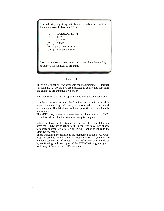The following key strings will be entered when the function keys are pressed in Trackstar Mode.

[F3 ] : CATALOG, D1^M [F4 ] : LOAD [F5 ] :LIST^M [F7 ] : SAVE [F8 1 : RUN HELLO^M [Quit ] : Exit the program

Use the up/down arrow keys and press the <Enter> key to select a function key to programs.



There are 6 function keys available for programming, F3 through P8. Keys Fl, P2, P9 and FIG are dedicated to control key functions, and cannot be programmed by the user.

You may select the [QUIT] option to return to the previous menu

Use the arrow keys to select the function key you wish to modify, press the <enter> key and then type the selected characters, words or commands. The definition can have up to 32 characters, Including <enter>.

The <DEL> key is used to delete selected characters, and <END> is used to indicate that the command string is complete.

When you have finished typing in your modified key definition, press the <END>key to return to the menu. You may~then choose to modify another key, or select the [QUIT] option to return to the Main Utility menu.

These Function Key definitions are maintained in the STAR COM program used to initialize the Trackstar system. If you wish to maintain several sets of Function Key Definitions you may do so by configuring multiple copies of the STAR.COM program, giving each copy of the program a different name.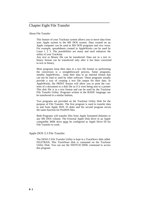## Chapter Eight File Transfer

About File Transfer

This feature of your Trackstar system allows you to move data from your Apple system to the MS DOS system. Data created on an Apple computer can be used in MS DOS programs and vice versa. For example, spreadsheets created in AppleWorks can be used by Lotus 1 2 3. The possibilities are many and each enhances the utility of your Trackstar.

<span id="page-42-0"></span>**\_\_\_\_\_\_\_\_\_\_\_\_\_\_\_\_\_\_\_\_\_\_\_\_\_\_\_\_\_\_\_\_\_\_\_\_\_\_\_\_\_\_\_**

Any text or Binary file can be transferred. Data not in a text or binary format can be transferred only after it has been converted to text or binary.

Most programs keep their data in a text file format so performing the conversion is a straightforward process, Some programs, notably AppleWorks, . keep their data in an internal format that can not be read or used by other software. These programs usually provide a way of creating a text file output for their data. In AppleWorks, the PRINT feature will allow you to print the contents of a document to a disk file as if it were being sent to a printer This disk file is in a text format and can be used by the Trackstar File Transfer Utility. Programs written in the BASIC language can be transferred in a similar fashion,

Two programs are provided on the Trackstar Utility Disk for the purpose of File Transfer. The first program is used to transfer data to and from Apple DOS 33 disks and the second program serves the same function for ProDOS files.

Both Programs will transfer files from Apple formatted diskettes to any MS DOS volume. The External Apple Disk drive or an Apple compatible 360K drive must be configured as Apple Drive Dl for File Transfer to work.

#### Apple DOS 3.3 File Transfer

The DOS3.3 File Transfer Utility is kept in a Track*Store* disk called FILETRAN, This TrackStore disk is contained on the Trackstar Utility Disk. You can use the SWITCH DISK command to access this program.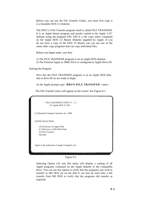Before you can use the File Transfer Utility, you must first copy it to a bootable DOS 3.3 diskette.

The DOS 3.3 File Transfer program itself is called FILE TRANSFER, It is an Apple binary program and maybe copied to the Apple 5.25" diskette using the program FID. FID is a file copy utility contained on the Apple DOS 3.3 Master Diskette supplied by Apple; If you do not have a copy of the DOS 33 Master you can use one of the many other copy programs that can copy individual files.

Before you begin make, sure that:

- 1) The FILE TRANSFER program is on an Apple DOS diskette
- 2) The External Apple or 360K Drive is configured as Apple Drive Dl.

Starting the Program

Now that the FILE TRANSFER program is on an Apple DOS diskette in drive Dl we are ready to begin.

At the Apple prompt type: **BRUN PILE TRANSFER** <enter>

The File Transfer menu will appear on the screen: See Figure 8-1.

— FILE TRANSFER UTIlITY V. 3.1 for Apple DOS 3.3 file (c) Diamond Computer Systems, Inc. 1986 ENTER SELECTION [A] Directory of Apple Disk [I ] Directory of MS-DOS Disk [T] File Transfer [O] Ouit Apple is the trademark of Apple Computer; Inc.



Selecting Option [A] rom this menu will display a catalog of all Apple programs contained on the Apple diskette in the compatible drive. You can use this option to verify that the programs you wish to transfer to MS DOS are on the disk It can also be used after a file transfer from MS DOS to verify that the programs did transfer as expected,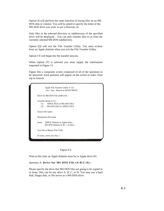Option ill will perform the same function of listing files on an MS DOS disk or volume. You will be asked to specify the letter of the MS DOS drive you wish. to see a directory of.

Only files in the selected directory or subdirectory of the specified drive will be displayed. . You can only transfer files to or from the currently selected MS DOS subdirectory.

Option [Q] will exit the Vile Transfer Utility. You must re-boot from an Apple diskette when you exit the File Transfer Utility.

Option I'll will begin the file transfer process.

When Option [T] is selected you must supply the information requested in Figure 15.

Figure iSis a composite screen composed of all of the questions to be answered. Each question will appear on the screen in order, from top to bottom

Apple File Transfer Utility V 3.0 <esc—key :Return to MAIN MENU Drive for MS DOS File *(A/B/C/D) :* Transfer Mode (1/2) : (1) APPLE FILE to MS DOS FILE (2) MS DOS FILE to APPLE FILE Source file name Destination file name Insert APPLE Diskette in Apple Drive MS DOS diskette in PC—A Drive Text file or Binary File (T/B) If ready. press any Key,!



Note:at this time an Apple diskette must be in Apple drive D1.

#### Question A: **Drive for MS DOS File** *(A/B/C/D):*

Please specify the drive that MS DOS files are going to be copied to or from, This can be any drive A, B, C, or D. You may use a hard disk, floppy disk, or file server as a MS-DOS drive.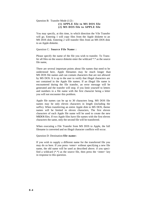#### Question B: Transfer Mode (1/2) : **(1) APPLE file to MS DOS file (2) MS DOS file to APPLE file**

You may specify, at this time, in which direction the Vile Transfer will go. Entering 1 will copy files from the Apple diskette to an MS DOS disk. Entering 2 will transfer files from an MS DOS disk to an Apple diskette.

#### Question C: **Source File Name :**

Please specify the name of the file you wish to transfer. To Transfer all files on the source diskette enter the wildcard \*.\* as the source file name,

There are several important points about file names that need to be understood here, Apple filenames may be much longer than MS DOS file names and can contain characters that are not allowed by MS DOS. It is up to the user to verify that illegal characters are not contained in the Apple file names. If an illegal file name is encountered during the file transfer, an error message will be generated and the transfer will stop. if you limit yourself to letters and numbers in a file name with the first character being a letter you will not encounter this problem.

Apple file names can be up to 30 characters long. MS DOS file names may be only eleven characters in length (including the suffix). When transferring an entire Apple disk to MS DOS, theme names will be limited to eleven characters, The first eleven characters of each Apple file name will be used to create the new MSDOS files. If two Apple files have file names with the first eleven characters the same, only the second file will be transferred.

When executing a File Transfer from MS DOS to Apple, the full filename is converted and no illegal character conflicts will occur.

#### Question D: Destination **file name:**

If you wish to supply a different name for the transferred file you may do so here. If you press <enter> without specifying a new file name, the old name will be used as described above. if you specified a wildcard  $(**)$  as the source file, then press the  $\langle$ enter $\rangle$  key in response to this question.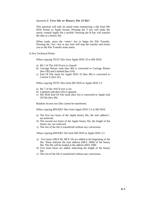#### Question E: **Text file or Binary file (T/B)?**

This question will only be asked when transferring a file from MS DOS format to Apple format. Pressing the T key will make the newly created Apple file a textfile. Pressing the B key will transfer the data as a binary file.

When ready, press the <enter> key to begin the Pile Transfer. Pressing the <esc> key at any time will stop the transfer and return you to the Pile Transfer main menu.

A Few Technical Points

When copying TEXT files from Apple DOS 33 to MS DOS:

- a) Bit 7 of The ASCII text is cleared.
- b) Carriage Return code (hex 80) is converted to Carriage Return (hex OD) and Linefeed (hex OA).
- c) End Of File mark for Apple DOS 33 (hex 00) is converted to Control Z (hex lA).

When copying TEXT files from MS DOS to Apple DOS 3.3

- a) Bit 7 of the ASCII text is set.
- b) Linefeed code (hex OA) is ignored
- c) MS DOS End Of File mark (hex lA) is converted to Apple End Of File (hex 00).

Random Access text files cannot be transferred.

When copying BINARY files from Apple DOS 3.3 to MS DOS

- a) The first two bytes of the Apple binary file, the start address", are removed.
- b) The second two bytes of the Apple binary file, the length of the binary me, are removed.
- c) The rest of the file is transferred without any conversion.

When copying BINARY file from MS DOS to Apple DOS 3.3

- a) Two bytes (HEX 00, HEX 10) are added at the beginning of the file. These indicate the start address (HEX 1000) of the binary file, The file will be loaded at the address HEX 1000.
- b) Two more bytes are added, indicating the length of the binary file.
- c) The rest of the file is transferred without any conversion.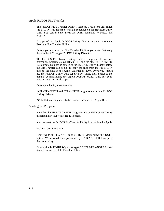Apple ProDOS File Transfer

The ProDOS FILE Transfer Utility is kept ma TrackStore disk called FILETRAN This TrackStore disk is contained on the Trackstar Utility Disk. You can use the SWITCH DISK command to access this program.

A copy of the Apple PrODOS Utility disk is required to run the Trackstar File Transfer Utility,

Before you can use the File Transfer Utilities you must first copy them to the 5.25' Apple ProDOS Utility Diskette.

The PrODOS File Transfer utility itself is composed of two programs; one program called TRANSFER and the other BTRANSFER. Both programs must be copied to the ProD OS Utility diskette before the File Transfer can begin. To copy the files from the FILETRAN disk to the disk in the Apple External or 360K Drive you should use the ProDOS Utility Disk supplied by Apple. Please refer to the manual accompanying the Apple ProDOS Utility Disk for compete instructions on file copy.

Before you begin, make sure that

1) The TRANSFER and BTRANSFER programs are **on** the ProDOS Utility diskette.

2) The External Apple or 360K Drive is configured as Apple Drive

Starting the Program

Now that the FILE TRANSFER programs are on the ProDOS Utility diskette in drive Dl we are ready to begin.

You can start the ProDOS File Transfer Utility from within the Apple

ProDOS Utility Program

From inside the ProDOS Utility's FILER Menu select the **QUIT**  option. When asked for a pathname, type **TRANSFER**,then press the.<enter> key.

From within ProDOS BASIC you can type **BRUN BTRANSFER** then <enter> to start the File Transfer Utility.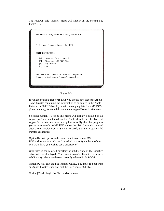The ProDOS File Transfer menu will appear on the screen: See Figure 8-3.

|                          | File Transfer Utility for ProDOS filets) Version 1.0                                                 |
|--------------------------|------------------------------------------------------------------------------------------------------|
|                          | (c) Diamond Computer Systems, Inc. 1987                                                              |
|                          | <b>ENTER SELECTION</b>                                                                               |
| [P]<br>[M]<br>ſТl<br>[Q] | Directors' of PRODOS Disk<br>Directory of MS-DOS Disk<br>File Transfer<br>Quit                       |
|                          | MS DOS is the. Trademark of Microsoft Corporation<br>Apple is the trademark of Apple. Computer, Inc. |



If you are copying data toMS DOS you should now place the Apple 5.25" diskette containing the information to be copied in the Apple External or 360K Drive. If you will be copying data from MS DOS place an empty, formatted diskette in the Apple External drive now.

Selecting Option [P1 from this menu will display a catalog of all Apple programs contained on the Apple diskette in the External Apple Drive. You can use this option to verify that the programs you wish to transfer to MS DOS are on the disk. It can also be used after a file transfer from MS DOS to verify that the programs did transfer as expected.

Option [Ml will perform the same function of on an MS DOS disk or volume. You will be asked to specify the letter of the MS DOS drive you wish to see a directory of.

Only files in the selected directory or subdirectory of the specified drive will be displayed. You cannot transfer files to or from a subdirectory other than the one currently selected in MS-DOS.

Option [Q]will exit the FileTransfer Utility. You must re-boot from an Apple diskette when you exit the File Transfer Utility.

Option [T] will begin the file transfer process.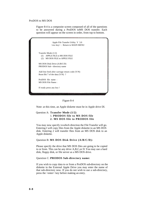Figure 8-4 is a composite screen composed of all of the questions to be answered during a ProDOS toMS DOS transfer. Each question will appear on the screen in order, from top to bottom.

|     | Apple File Transfer Utility V 3.0                |
|-----|--------------------------------------------------|
|     | <esc-key>: Return to MAIN MENU</esc-key>         |
|     | Transfer Mode (1/2)                              |
| (I) | APPLE FILE to MS DOS FILE                        |
|     | (2) MS DOS FILE to APPLE FILE                    |
|     | MS DOS Disk Drive (A/B/C/D)                      |
|     | PRODOS Sub-directory name                        |
|     | Add line feed after carriage return code $(Y/N)$ |
|     | Reset Bit 7 of the data $(Y/N)$ ?                |
|     | ProDOS file name:                                |
|     | MS DOS File Name:                                |
|     | If ready press any key !                         |



Note: at this time, an Apple diskette must be in Apple drive Dl.

#### Question A: **Transfer Mode (1/2)** 1. **PRODOS file to MS DOS file 2. MS DOS file to PRODOS file**

You may now specify in which direction the File Transfer will go. Entering I will copy files from the Apple diskette to an MS DOS disk. Entering 2 will transfer flies from an MS DOS disk to an Apple diskette.

#### Question B: **MS DOS Disk Drive (A/B/C/D):**

Please specify the drive that MS DOS files are going to be copied to or from. This can be any drive A,B,C,or D. You may use a hard disk, floppy disk, or file server as a MS DOS drive.

#### Question C: **PRODOS Sub-directory name:**

If you wish to copy data to or from a ProDOS sub-directory on the diskette in the External Apple Drive you may enter the name of that sub-directory now. If you do not wish to use a sub-directory, press the <enter> key before making an entry.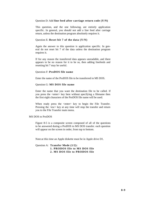#### Question D: Add **line feed after carriage return code (Y/N)**

This question, and the one following, are entirely application specific. In general, you should not add a line feed after carriage return, unless the destination program absolutely requires it.

#### Question E: **Reset bit 7 of the data (Y/N)**

Again the answer to this question is application specific. In general do not reset bit 7 of the data unless the destination program requires it.

If for any reason the transferred data appears unreadable, and there appears to be no reason for it to be so, then adding linefeeds and resetting bit 7 may be useful.

#### Question F: **ProDOS file name**

Enter the name of the ProDOS file to be transferred to MS DOS.

#### Question G: **MS DOS file name**

Enter the name that you want the destination file to be called. If you press the <enter> key here without specifying a filename then the first eight characters of the ProDOS file name will be used.

When ready press the <enter> key to begin the File Transfer. Pressing the  $\langle \text{esc} \rangle$  key at any time will stop the transfer and return you to the File Transfer main menu.

MS DOS to ProDOS

Figure 8-5 is a composite screen composed of all of the questions to be answered during a ProDOS to MS DOS transfer. each question will appear on the screen in order, from top to bottom.

Note:at this time an Apple diskette must be in Apple drive D1.

#### Question A: **Transfer Mode (1/2): 1. PRODOS file to MS DOS file 2. MS DOS file to PRODOS file**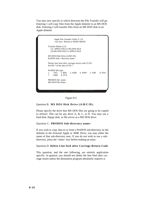You may now specify in which direction the Pile Transfer will go. Entering 1 will copy files from the Apple diskette to an MS DOS disk. Entering 2 will transfer files from an MS DOS disk to an Apple diskette.

Apple File Transfer Utility V 3.0 <esc-key> Return to MAIN MENU Transfer Mode (1/2) (1) APPLE FILE to Ms DOS FILE (2) MS DOS FILE to APPLE FILE MS DOS Disk Drive (A/B/C/D) : ProDOS Sub—directory name : Delete line feed after carriage return code (Y/N) Set Mt 7 of the data (Y/N) ? ProDOS file type: 1. TXT 2.BIN 3.ADB 4.AWP 5.ASP 6.PAS<br>7. CMD 8.SYS 7. CMD 8. SYS PRODOS file name : MS DOS File Name :



#### Question B: **MS DOS Disk Drive (A/B/C/D):**

Please specify the drive that MS DOS files are going to be copied to orfron3. This can be any drive A, B, C, or D. You may use a hard disk, floppy disk, or file server as a MS DOS drive.

#### Question C: **PRODOS Sub-directory name:**

If you wish to copy data to or from a ProDOS sub-directory on the diskette in the External Apple or 360K Drive, you may either the name of that sub-directory now, If you do not wish to use a subdirectory, press the <enter> key before making an entry.

#### Question D: **Delete Line feed after Carriage Return Code**

This question, and the one following, are entirely application specific. In general, you should not delete the line feed after carriage return unless the destination program absolutely requires it.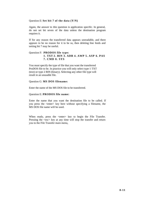#### Question E: **Set bit 7 of the data (Y/N)**

Again, the answer to this question is application specific. In general, do not set bit seven of the data unless the destination program requires it.

If for any reason the transferred data appears unreadable, and there appears to be no reason for it to be so, then deleting line feeds and setting bit 7 may be useful.

#### Question F: **PRODOS file type: 1 . TXT 2 . BIN 3. ADB 4. AWP 5. ASP 6. PAS 7 . CMD 8. SYS**

You must specify the type of file that you want the transferred ProDOS file to be. In practice you will only select type 1 TXT (text) or type 2 BIN (binary). Selecting any other file type will result in an unusable file.

#### Question G: **MS DOS filename:**

Enter the name of the MS DOS file to be transferred.

#### Question E: **PRODOS file name:**

Enter the name that you want the destination file to be called. If you press the <enter> key here without specifying a filename, the MS DOS file name will be used.

When ready, press the <enter> key to begin the File Transfer. Pressing the <esc> key at any time will stop the transfer and return you to the File Transfer main menu,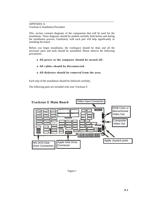#### <span id="page-53-0"></span>**\_\_\_\_\_\_\_\_\_\_\_\_\_\_\_\_\_\_\_\_\_\_\_\_\_\_\_\_\_\_\_\_\_\_\_\_\_\_\_\_\_\_\_\_\_\_\_\_\_\_\_\_\_** APPENDIX A: Trackstar E Installation Procedure

This. section contains diagrams of the components that will be used for the installation. These diagrams should be studied carefully both before and during the installation process. Familiarity with each part will help significantly in installing the board.

Before you begin installation, the workspace should be dean and all the necessary parts and tools should be assembled. Please observe the following precautions:

- **o All power to the computer should be turned off.**
- **o All cables should be disconnected.**
- **o All diskettes should be removed from the area.**

Each step of the installation should be followed carefully.

The following parts are included with your Trackstar *E*



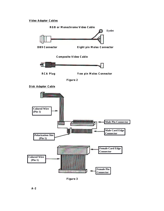#### **Video Adaptor Cables**



**DB9 Connector Eight pin Molex Connector**

**Composite Video Cable**



**RCA Plug Yow pin Molex Connector**



**Disk Adaptor Cable**



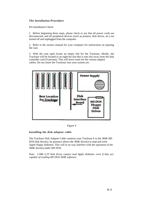#### **The Installation Procedure**

Pre-Installation Check:

I. Before beginning these steps, please check to see that all power cords are disconnected, and all peripheral devices (such as printers, disk drives, etc.) are turned off and unplugged from the computer.

2. Refer to the owners manual for your computer for instructions on opening the case.

3. With the case open locate an empty slot for the Trackstar. Ideally, the Trackstar will be located in an eight-bit slot that is one slot away from the disk controller card (if present). This will leave room for the various adaptor cables, Do not insert the Trackstar into your system yet.



Figure 4

#### **Installing the disk adaptor cable**

The Trackstar Disk Adaptor Cable connects your Trackstar E to the 360K MS DOS disk drive(s). Its presence allows the 360K drive(s) to read and write Apple floppy diskettes, This will in no way interfere with the operation of the 360K drive(s) under MS DOS.

*Note: l.2Mb 5.25"disk drives cannot read Apple diskettes- even if they are capable of reading MS DOS 360K software.*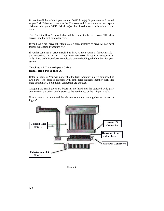Do not install this cable if you have no 360K drive(s). If you have an External Apple Disk Drive to connect to the Trackstar and do not want to read Apple diskettes with your 360K disk drive(s), then installation of this cable is optional.

The Trackstar Disk Adaptor Cable will be connected between your 360K disk drive(s) and the disk controller card,

If you have a disk drive other than a 560K drive installed as drive A:, you must follow installation Procedure "A".

If you ha cone 360 K drive install d as drive A: then you may follow installation Procedure "A" or "B". If you have two 360K drives use Procedure 'B' Only. Read both Procedures completely before deciding which is best for your system.

#### **Trackstar E Disk Adaptor Cable Installation Procedure A.**

Refer to Figure 3. You will notice that the Disk Adaptor Cable is composed of two parts. The cable is shipped with both parts plugged together such that male and female 34 pin molex connectors are exposed.

Grasping the small green PC board in one hand and the attached wide gray connector in the other, gently separate the two halves of the Adaptor Cable.

Now connect the male and female molex connectors together as shown in Figure5.



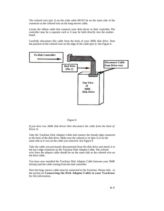The colored wire (pin 1) on the wide cable MUST be on the same side of the connector as the colored wire on the long narrow cable.

Locate the ribbon cable that connects your disk drives to their controller The controller may be a separate card or it may be built directly into the motherboard.

Carefully disconnect this cable from the back of your 360K disk drive. Note the position of the colored wire on the edge of the cable (pin I). See Figure 6.



#### Figure 6

*If* you *have two 360K disk drives then disconnect the cable from the back of Drive A:*

Take the Trackstar Disk Adaptor Cable and connect the female edge connector to the back of the disk drive. Make sure the colored w ire (pin 1) is on the same side as it was on the cable you removed. See Figure 9.

Take the cable you previously disconnected from the disk drive and attach it to the ma e edge connector on the Trackstar Disk Adaptor Cable. The colored wire from the adaptor cable should be on the same side as the colored wire on the drive cable.

You have now installed the Trackstar Disk Adaptor Cable between your 360K drive(s) and the cable coming from the disk controller.

Next the long, narrow cable must be connected to the Trackstar. Please refer to the section on **Connecting the Disk Adaptor Cable to your Trackstar**  for this information.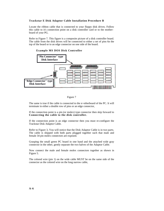#### **Trackstar E Disk Adaptor Cable Installation Procedure B**

Locate the ribbon cable that is connected to your floppy disk drives. Follow this cable to it's connection point on a disk controller card or to the motherboard of your PG.

Refer to Figure 7. This figure is a composite picture of a disk controller board. The cable from the disk drives will be connected to either a set of pins 6n the top of the board or to an edge connector on one side of the board.



#### **Example MS DOS Disk Controller**



The same is true if the cable is connected to the n~otherboard of the PC. It will terminate in either a double row of pins or an edge connector,

If the connection point is a pin (or molex) type connector then skip forward to **Connecting the cable to the disk controller.**

If the connection point is an edge connector then you must re-configure the Trackstar Disk Adaptor Cable.

Refer to Figure 3, You will notice that the Disk Adaptor Cable is in two parts. The cable is shipped with both parts plugged together such that male and female 34 pin molex connectors are exposed.

Grasping the small green PC board in one hand and the attached wide gray connector in the other, gently separate the two halves of the Adaptor Cable.

Now connect the male and female molex connectors together as shown in Figure 5.

The colored wire (pin 1) on the wide cable MUST be on the same side of the connector as the colored wire on the long narrow cable,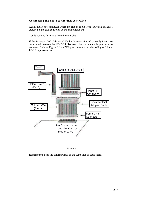#### **Connecting the cable to the disk controller**

Again, locate the connector where the ribbon cable from your disk drive(s) is attached to the disk controller board or motherboard.

Gently remove this cable from the controller.

If the Trackstar Disk Adaptor Cable has been configured correctly it can now be inserted between the MS DOS disk controller and the cable you have just removed. Refer to Figure 8 for a PIN type connector or refer to Figure 9 for an EDGE type connector.





Remember to keep the colored wires on the same side of each cable.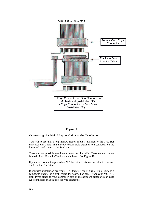

#### **Figure 9**

#### **Connecting the Disk Adaptor Cable to the Trackstar.**

You will notice that a long narrow ribbon cable is attached to the Trackstar Disk Adaptor Cable. This narrow ribbon cable attaches to a connector on the lower left hand corner of the Trackstar.

There are two possible attachment points for the cable. These connectors are labeled J5 and J6 on the Trackstar main board. See Figure 10.

If you used installation procedure "A" then attach this narrow cable to connector J6 on the Trackstar.

If you used installation procedure "B" then refer to Figure 7. This Figure is a composite picture of a disk controller board. The cable from your MS DOS disk drives attach to your controller card or motherboard either with an edge type connector or a pin (molex) type connector.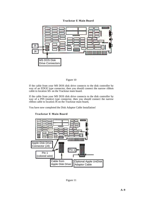



If the cable from your MS DOS disk drive connects to the disk controller by way of an EDGE type connector, then you should connect the narrow ribbon cable to location **55** on the Trackstar main board.

If the cable from your MS DOS disk drive connects to the disk controller by way of a PIN (molex) type connector, then you should connect the narrow ribbon cable to location J6 on the Trackstar main board,

You have now completed the Disk Adaptor Cable Installation!



#### **Trackstar E Main Board**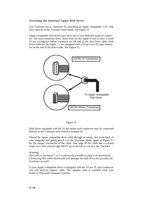#### **Attaching the Optional Apple Disk Drive:**

You Trackstar has **a** connector for attaching an Apple compatible 5.25" disk drive directly to the Trackstar main board. See Figure 11.

Apple compatible disk drives may have one of two different kinds of connector. The most numerous drive, those built for the Apple II and lie have a small 20 pin rectangular molex connector on the end of the disk drive cable. Disk drives built *for* the Apple *//* c are equipped with a 19 pin oval 'D' type connector on the end of the drive cable. See Figure 12.





Disk drives equipped with the 20 pin molex style connector may be connected directly to the Trackstar main board at location J4.

Thread the Apple compatible drive cable through an empty slot in the back of your computer and gently attach it to the Trackstar. Refer again, to Figure 11 for the proper orientation of the cable. One edge of the cable has a colored stripe on it- this colored edge MUST go to the left as you face the Trackstar.

#### Warning!

*The cable is not keyed" so it is physically possible to plug it on backwards. Connecting Ibis cable backwards will damage the disk drive and possibly the Trackstar as well!*

If your Apple compatible drive is equipped with the 19 pin 'D' style connector you will need an adaptor cable, This adaptor cable is available from your dealer or Diamond Computer Systems.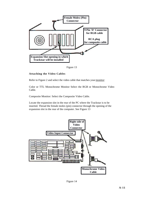

Figure 13

#### **Attaching the Video Cables**

Refer to Figure 2 and select the video cable that matches your monitor:

Color or TTL Monochrome Monitor Select the RGB or Monochrome Video Cable.

Composite Monitor: Select the Composite Video Cable.

Locate the expansion slot in the rear of the PC where the Trackstar is to be inserted. Thread the female molex (pin) connector through the opening of the expansion slot in the rear of the computer. See Figure 13



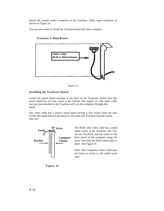Attach the female molex connector to the Trackstar Video Input connector as shown in Figure 14.

You are now ready to install the Trackstar board into your computer.



#### **Trackstar E Main Board**



#### **Installing the Trackstar Board**

Locate the metal shield attached at the back of the Trackstar. Notice that this metal shield has an oval cutout at the bottom, See Figure 15, The video cable that you just attached to the Trackstar will exit the computer through this notch.

The video cable has a narrow metal band circling it four inches from the end. Center this metal band in the notch as you insert the Trackstar into the expansion slot



The RGB color video cable has a small metal eyelet at the Trackstar end. Fasten the Trackstar and the eyelet to the back panel of the computer using the screw that held the blank metal plate in place. See Figure 16

Note: The Composite Video Cable does not have an eyelet or the small metal ring.

**Figure 16**